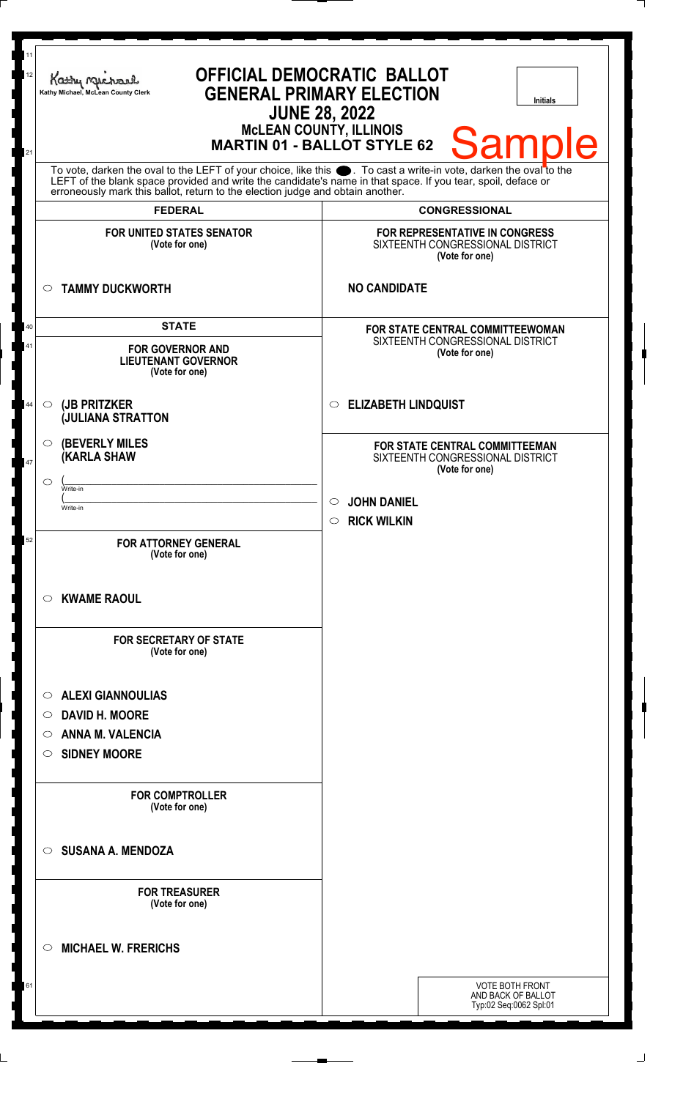| 11<br>12<br>21 | <b>OFFICIAL DEMOCRATIC BALLOT</b><br>Kathy Myre<br><b>GENERAL PRIMARY ELECTION</b><br>Kathy Michael, McLean County Clerk<br><b>Initials</b><br><b>JUNE 28, 2022</b><br>McLEAN COUNTY, ILLINOIS<br>MARTIN 01 - BALLOT STYLE 62<br><b>Sample</b>                                                                         |                                                                                                                                                        |
|----------------|------------------------------------------------------------------------------------------------------------------------------------------------------------------------------------------------------------------------------------------------------------------------------------------------------------------------|--------------------------------------------------------------------------------------------------------------------------------------------------------|
|                | To vote, darken the oval to the LEFT of your choice, like this $\bullet$ . To cast a write-in vote, darken the oval to the LEFT of the blank space provided and write the candidate's name in that space. If you tear, spoil, deface<br>erroneously mark this ballot, return to the election judge and obtain another. |                                                                                                                                                        |
|                | <b>FEDERAL</b>                                                                                                                                                                                                                                                                                                         | <b>CONGRESSIONAL</b>                                                                                                                                   |
|                | <b>FOR UNITED STATES SENATOR</b><br>(Vote for one)                                                                                                                                                                                                                                                                     | FOR REPRESENTATIVE IN CONGRESS<br>SIXTEENTH CONGRESSIONAL DISTRICT<br>(Vote for one)                                                                   |
|                | <b>TAMMY DUCKWORTH</b><br>$\circ$                                                                                                                                                                                                                                                                                      | <b>NO CANDIDATE</b>                                                                                                                                    |
| 40<br>41       | <b>STATE</b><br><b>FOR GOVERNOR AND</b><br><b>LIEUTENANT GOVERNOR</b><br>(Vote for one)                                                                                                                                                                                                                                | FOR STATE CENTRAL COMMITTEEWOMAN<br>SIXTEENTH CONGRESSIONAL DISTRICT<br>(Vote for one)                                                                 |
| 44             | (JB PRITZKER<br>$\circ$<br><b>JULIANA STRATTON</b>                                                                                                                                                                                                                                                                     | <b>ELIZABETH LINDQUIST</b><br>$\circ$                                                                                                                  |
| $47\,$         | <b>(BEVERLY MILES)</b><br>$\circ$<br><b>(KARLA SHAW</b><br>◯<br>Write-in<br>Write-in                                                                                                                                                                                                                                   | FOR STATE CENTRAL COMMITTEEMAN<br>SIXTEENTH CONGRESSIONAL DISTRICT<br>(Vote for one)<br><b>JOHN DANIEL</b><br>$\circ$<br><b>RICK WILKIN</b><br>$\circ$ |
| 52             | <b>FOR ATTORNEY GENERAL</b><br>(Vote for one)<br><b>KWAME RAOUL</b><br>O<br><b>FOR SECRETARY OF STATE</b><br>(Vote for one)                                                                                                                                                                                            |                                                                                                                                                        |
|                | <b>ALEXI GIANNOULIAS</b><br>$\circ$<br><b>DAVID H. MOORE</b><br>$\circ$<br><b>ANNA M. VALENCIA</b><br>O<br><b>SIDNEY MOORE</b><br>$\circ$                                                                                                                                                                              |                                                                                                                                                        |
|                | <b>FOR COMPTROLLER</b><br>(Vote for one)                                                                                                                                                                                                                                                                               |                                                                                                                                                        |
|                | <b>SUSANA A. MENDOZA</b><br>$\circ$                                                                                                                                                                                                                                                                                    |                                                                                                                                                        |
|                | <b>FOR TREASURER</b><br>(Vote for one)                                                                                                                                                                                                                                                                                 |                                                                                                                                                        |
|                | <b>MICHAEL W. FRERICHS</b><br>◯                                                                                                                                                                                                                                                                                        |                                                                                                                                                        |
| 61             |                                                                                                                                                                                                                                                                                                                        | <b>VOTE BOTH FRONT</b><br>AND BACK OF BALLOT<br>Typ:02 Seq:0062 Spl:01                                                                                 |

 $\perp$